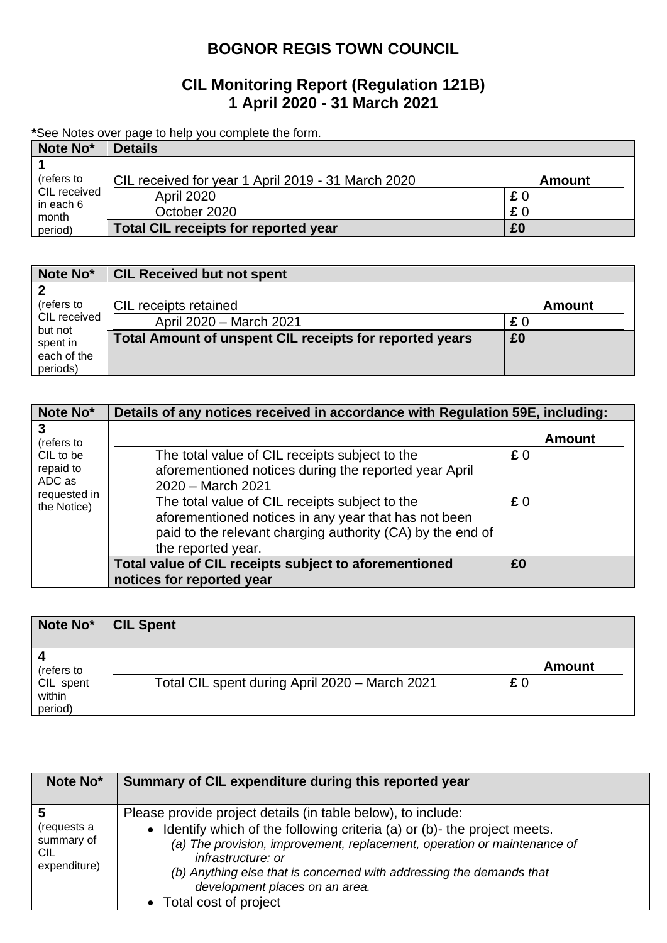# **BOGNOR REGIS TOWN COUNCIL**

## **CIL Monitoring Report (Regulation 121B) 1 April 2020 - 31 March 2021**

**\***See Notes over page to help you complete the form.

| Note No*                                                    | <b>Details</b>                                     |               |  |
|-------------------------------------------------------------|----------------------------------------------------|---------------|--|
|                                                             |                                                    |               |  |
| (refers to<br>CIL received<br>in each 6<br>month<br>period) | CIL received for year 1 April 2019 - 31 March 2020 | <b>Amount</b> |  |
|                                                             | <b>April 2020</b>                                  | £0            |  |
|                                                             | October 2020                                       | £0            |  |
|                                                             | <b>Total CIL receipts for reported year</b>        | £0            |  |

| Note No*            | <b>CIL Received but not spent</b>                       |               |
|---------------------|---------------------------------------------------------|---------------|
|                     |                                                         |               |
| (refers to          | CIL receipts retained                                   | <b>Amount</b> |
| CIL received        | April 2020 - March 2021                                 | £0            |
| but not<br>spent in | Total Amount of unspent CIL receipts for reported years | £0            |
| each of the         |                                                         |               |
| periods)            |                                                         |               |

| Note No*                                                        | Details of any notices received in accordance with Regulation 59E, including:                                                                                                              |               |  |
|-----------------------------------------------------------------|--------------------------------------------------------------------------------------------------------------------------------------------------------------------------------------------|---------------|--|
| 3<br>(refers to                                                 |                                                                                                                                                                                            | <b>Amount</b> |  |
| CIL to be<br>repaid to<br>ADC as<br>requested in<br>the Notice) | The total value of CIL receipts subject to the<br>aforementioned notices during the reported year April<br>2020 - March 2021                                                               | £0            |  |
|                                                                 | The total value of CIL receipts subject to the<br>aforementioned notices in any year that has not been<br>paid to the relevant charging authority (CA) by the end of<br>the reported year. | £0            |  |
|                                                                 | Total value of CIL receipts subject to aforementioned<br>notices for reported year                                                                                                         | £0            |  |

| Note No*                                     | <b>CIL Spent</b>                               |                     |
|----------------------------------------------|------------------------------------------------|---------------------|
| (refers to<br>CIL spent<br>within<br>period) | Total CIL spent during April 2020 - March 2021 | <b>Amount</b><br>£0 |

| Note No*                                          | Summary of CIL expenditure during this reported year                                                                                                                                                                                                                                                                                                                             |
|---------------------------------------------------|----------------------------------------------------------------------------------------------------------------------------------------------------------------------------------------------------------------------------------------------------------------------------------------------------------------------------------------------------------------------------------|
| (requests a<br>summary of<br>CIL.<br>expenditure) | Please provide project details (in table below), to include:<br>• Identify which of the following criteria (a) or (b)- the project meets.<br>(a) The provision, improvement, replacement, operation or maintenance of<br>infrastructure: or<br>(b) Anything else that is concerned with addressing the demands that<br>development places on an area.<br>• Total cost of project |